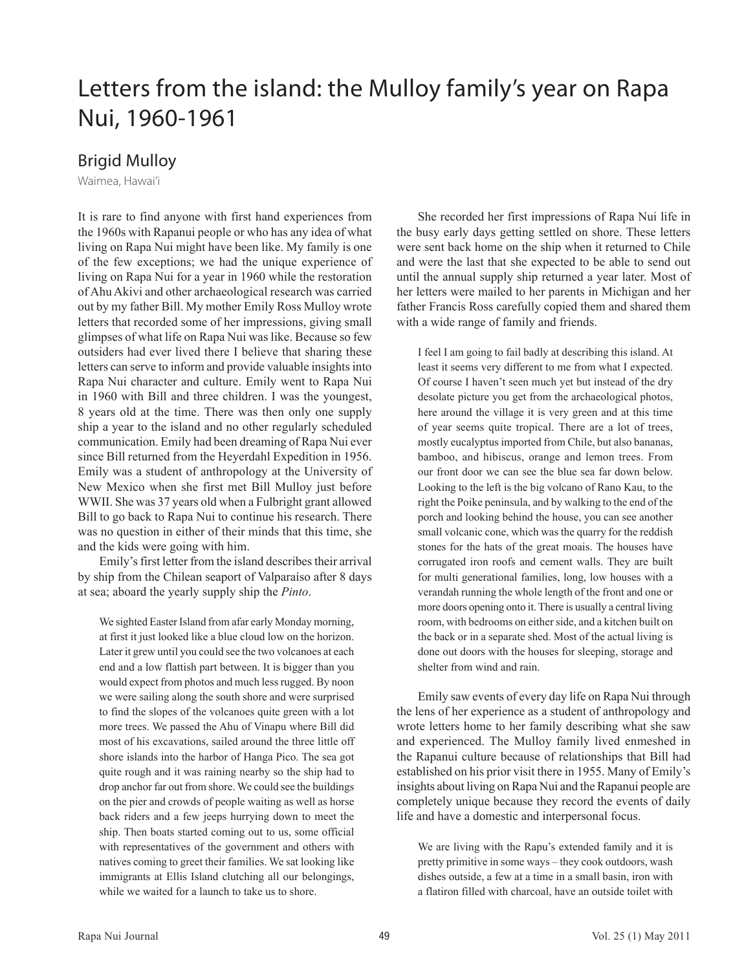## Letters from the island: the Mulloy family's year on Rapa Nui, 1960-1961

## Brigid Mulloy

Waimea, Hawai'i

It is rare to find anyone with first hand experiences from the 1960s with Rapanui people or who has any idea of what living on Rapa Nui might have been like. My family is one of the few exceptions; we had the unique experience of living on Rapa Nui for a year in 1960 while the restoration of Ahu Akivi and other archaeological research was carried out by my father Bill. My mother Emily Ross Mulloy wrote letters that recorded some of her impressions, giving small glimpses of what life on Rapa Nui was like. Because so few outsiders had ever lived there I believe that sharing these letters can serve to inform and provide valuable insights into Rapa Nui character and culture. Emily went to Rapa Nui in 1960 with Bill and three children. I was the youngest, 8 years old at the time. There was then only one supply ship a year to the island and no other regularly scheduled communication. Emily had been dreaming of Rapa Nui ever since Bill returned from the Heyerdahl Expedition in 1956. Emily was a student of anthropology at the University of New Mexico when she first met Bill Mulloy just before WWII. She was 37 years old when a Fulbright grant allowed Bill to go back to Rapa Nui to continue his research. There was no question in either of their minds that this time, she and the kids were going with him.

Emily's first letter from the island describes their arrival by ship from the Chilean seaport of Valparaíso after 8 days at sea; aboard the yearly supply ship the Pinto.

We sighted Easter Island from afar early Monday morning, at first it just looked like a blue cloud low on the horizon. Later it grew until you could see the two volcanoes at each end and a low flattish part between. It is bigger than you would expect from photos and much less rugged. By noon we were sailing along the south shore and were surprised to find the slopes of the volcanoes quite green with a lot more trees. We passed the Ahu of Vinapu where Bill did most of his excavations, sailed around the three little off shore islands into the harbor of Hanga Pico. The sea got quite rough and it was raining nearby so the ship had to drop anchor far out from shore. We could see the buildings on the pier and crowds of people waiting as well as horse back riders and a few jeeps hurrying down to meet the ship. Then boats started coming out to us, some official with representatives of the government and others with natives coming to greet their families. We sat looking like immigrants at Ellis Island clutching all our belongings, while we waited for a launch to take us to shore.

She recorded her first impressions of Rapa Nui life in the busy early days getting settled on shore. These letters were sent back home on the ship when it returned to Chile and were the last that she expected to be able to send out until the annual supply ship returned a year later. Most of her letters were mailed to her parents in Michigan and her father Francis Ross carefully copied them and shared them with a wide range of family and friends.

I feel I am going to fail badly at describing this island. At least it seems very different to me from what I expected. Of course I haven't seen much yet but instead of the dry desolate picture you get from the archaeological photos, here around the village it is very green and at this time of year seems quite tropical. There are a lot of trees, mostly eucalyptus imported from Chile, but also bananas, bamboo, and hibiscus, orange and lemon trees. From our front door we can see the blue sea far down below. Looking to the left is the big volcano of Rano Kau, to the right the Poike peninsula, and by walking to the end of the porch and looking behind the house, you can see another small volcanic cone, which was the quarry for the reddish stones for the hats of the great moais. The houses have corrugated iron roofs and cement walls. They are built for multi generational families, long, low houses with a verandah running the whole length of the front and one or more doors opening onto it. There is usually a central living room, with bedrooms on either side, and a kitchen built on the back or in a separate shed. Most of the actual living is done out doors with the houses for sleeping, storage and shelter from wind and rain.

Emily saw events of every day life on Rapa Nui through the lens of her experience as a student of anthropology and wrote letters home to her family describing what she saw and experienced. The Mulloy family lived enmeshed in the Rapanui culture because of relationships that Bill had established on his prior visit there in 1955. Many of Emily's insights about living on Rapa Nui and the Rapanui people are completely unique because they record the events of daily life and have a domestic and interpersonal focus.

We are living with the Rapu's extended family and it is pretty primitive in some ways – they cook outdoors, wash dishes outside, a few at a time in a small basin, iron with a flatiron filled with charcoal, have an outside toilet with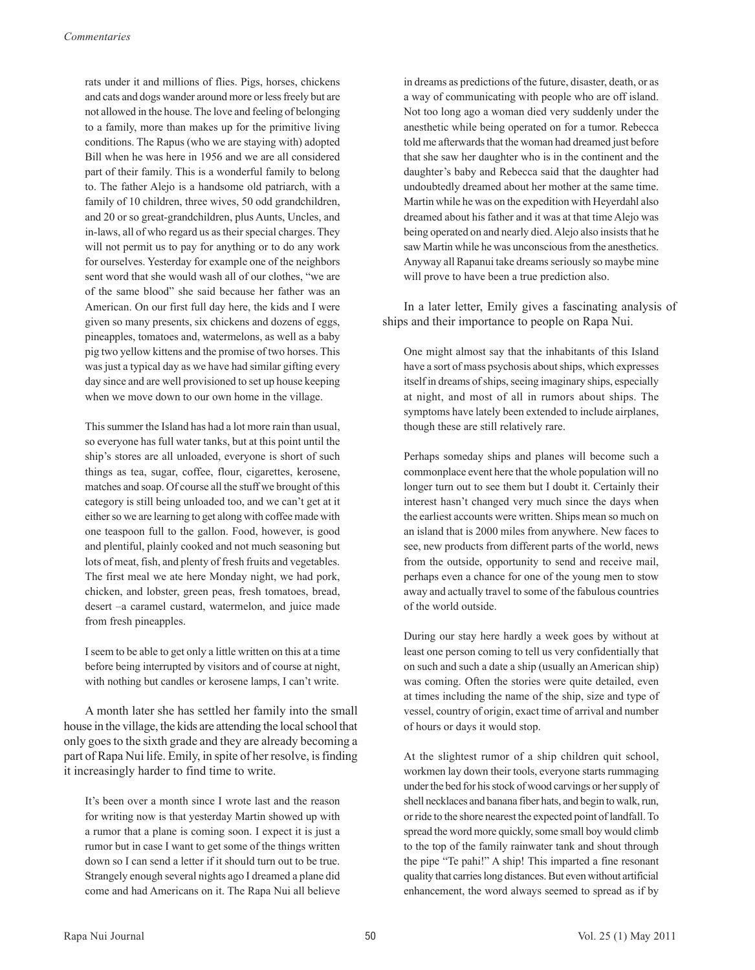rats under it and millions of flies. Pigs, horses, chickens and cats and dogs wander around more or less freely but are not allowed in the house. The love and feeling of belonging to a family, more than makes up for the primitive living conditions. The Rapus (who we are staying with) adopted Bill when he was here in 1956 and we are all considered part of their family. This is a wonderful family to belong to. The father Alejo is a handsome old patriarch, with a family of 10 children, three wives, 50 odd grandchildren, and 20 or so great-grandchildren, plus Aunts, Uncles, and in-laws, all of who regard us as their special charges. They will not permit us to pay for anything or to do any work for ourselves. Yesterday for example one of the neighbors sent word that she would wash all of our clothes, "we are of the same blood" she said because her father was an American. On our first full day here, the kids and I were given so many presents, six chickens and dozens of eggs, pineapples, tomatoes and, watermelons, as well as a baby pig two yellow kittens and the promise of two horses. This was just a typical day as we have had similar gifting every day since and are well provisioned to set up house keeping when we move down to our own home in the village.

This summer the Island has had a lot more rain than usual, so everyone has full water tanks, but at this point until the ship's stores are all unloaded, everyone is short of such things as tea, sugar, coffee, flour, cigarettes, kerosene, matches and soap. Of course all the stuff we brought of this category is still being unloaded too, and we can't get at it either so we are learning to get along with coffee made with one teaspoon full to the gallon. Food, however, is good and plentiful, plainly cooked and not much seasoning but lots of meat, fish, and plenty of fresh fruits and vegetables. The first meal we ate here Monday night, we had pork, chicken, and lobster, green peas, fresh tomatoes, bread, desert –a caramel custard, watermelon, and juice made from fresh pineapples.

I seem to be able to get only a little written on this at a time before being interrupted by visitors and of course at night, with nothing but candles or kerosene lamps, I can't write.

A month later she has settled her family into the small house in the village, the kids are attending the local school that only goes to the sixth grade and they are already becoming a part of Rapa Nui life. Emily, in spite of her resolve, is finding it increasingly harder to find time to write.

It's been over a month since I wrote last and the reason for writing now is that yesterday Martin showed up with a rumor that a plane is coming soon. I expect it is just a rumor but in case I want to get some of the things written down so I can send a letter if it should turn out to be true. Strangely enough several nights ago I dreamed a plane did come and had Americans on it. The Rapa Nui all believe

in dreams as predictions of the future, disaster, death, or as a way of communicating with people who are off island. Not too long ago a woman died very suddenly under the anesthetic while being operated on for a tumor. Rebecca told me afterwards that the woman had dreamed just before that she saw her daughter who is in the continent and the daughter's baby and Rebecca said that the daughter had undoubtedly dreamed about her mother at the same time. Martin while he was on the expedition with Heyerdahl also dreamed about his father and it was at that time Alejo was being operated on and nearly died. Alejo also insists that he saw Martin while he was unconscious from the anesthetics. Anyway all Rapanui take dreams seriously so maybe mine will prove to have been a true prediction also.

In a later letter, Emily gives a fascinating analysis of ships and their importance to people on Rapa Nui.

One might almost say that the inhabitants of this Island have a sort of mass psychosis about ships, which expresses itself in dreams of ships, seeing imaginary ships, especially at night, and most of all in rumors about ships. The symptoms have lately been extended to include airplanes, though these are still relatively rare.

Perhaps someday ships and planes will become such a commonplace event here that the whole population will no longer turn out to see them but I doubt it. Certainly their interest hasn't changed very much since the days when the earliest accounts were written. Ships mean so much on an island that is 2000 miles from anywhere. New faces to see, new products from different parts of the world, news from the outside, opportunity to send and receive mail, perhaps even a chance for one of the young men to stow away and actually travel to some of the fabulous countries of the world outside.

During our stay here hardly a week goes by without at least one person coming to tell us very confidentially that on such and such a date a ship (usually an American ship) was coming. Often the stories were quite detailed, even at times including the name of the ship, size and type of vessel, country of origin, exact time of arrival and number of hours or days it would stop.

At the slightest rumor of a ship children quit school, workmen lay down their tools, everyone starts rummaging under the bed for his stock of wood carvings or her supply of shell necklaces and banana fiber hats, and begin to walk, run, or ride to the shore nearest the expected point of landfall. To spread the word more quickly, some small boy would climb to the top of the family rainwater tank and shout through the pipe "Te pahi!" A ship! This imparted a fine resonant quality that carries long distances. But even without artificial enhancement, the word always seemed to spread as if by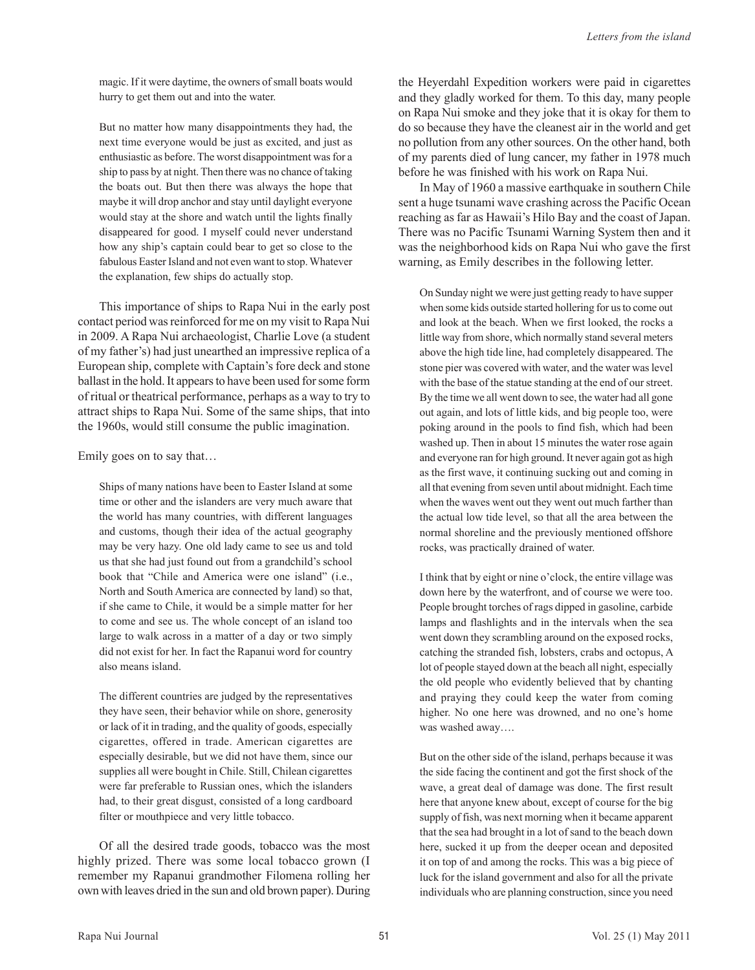magic. If it were daytime, the owners of small boats would hurry to get them out and into the water.

But no matter how many disappointments they had, the next time everyone would be just as excited, and just as enthusiastic as before. The worst disappointment was for a ship to pass by at night. Then there was no chance of taking the boats out. But then there was always the hope that maybe it will drop anchor and stay until daylight everyone would stay at the shore and watch until the lights finally disappeared for good. I myself could never understand how any ship's captain could bear to get so close to the fabulous Easter Island and not even want to stop. Whatever the explanation, few ships do actually stop.

This importance of ships to Rapa Nui in the early post contact period was reinforced for me on my visit to Rapa Nui in 2009. A Rapa Nui archaeologist, Charlie Love (a student of my father's) had just unearthed an impressive replica of a European ship, complete with Captain's fore deck and stone ballast in the hold. It appears to have been used for some form of ritual or theatrical performance, perhaps as a way to try to attract ships to Rapa Nui. Some of the same ships, that into the 1960s, would still consume the public imagination.

Emily goes on to say that…

Ships of many nations have been to Easter Island at some time or other and the islanders are very much aware that the world has many countries, with different languages and customs, though their idea of the actual geography may be very hazy. One old lady came to see us and told us that she had just found out from a grandchild's school book that "Chile and America were one island" (i.e., North and South America are connected by land) so that, if she came to Chile, it would be a simple matter for her to come and see us. The whole concept of an island too large to walk across in a matter of a day or two simply did not exist for her. In fact the Rapanui word for country also means island.

The different countries are judged by the representatives they have seen, their behavior while on shore, generosity or lack of it in trading, and the quality of goods, especially cigarettes, offered in trade. American cigarettes are especially desirable, but we did not have them, since our supplies all were bought in Chile. Still, Chilean cigarettes were far preferable to Russian ones, which the islanders had, to their great disgust, consisted of a long cardboard filter or mouthpiece and very little tobacco.

Of all the desired trade goods, tobacco was the most highly prized. There was some local tobacco grown (I remember my Rapanui grandmother Filomena rolling her own with leaves dried in the sun and old brown paper). During

the Heyerdahl Expedition workers were paid in cigarettes and they gladly worked for them. To this day, many people on Rapa Nui smoke and they joke that it is okay for them to do so because they have the cleanest air in the world and get no pollution from any other sources. On the other hand, both of my parents died of lung cancer, my father in 1978 much before he was finished with his work on Rapa Nui.

In May of 1960 a massive earthquake in southern Chile sent a huge tsunami wave crashing across the Pacific Ocean reaching as far as Hawaii's Hilo Bay and the coast of Japan. There was no Pacific Tsunami Warning System then and it was the neighborhood kids on Rapa Nui who gave the first warning, as Emily describes in the following letter.

On Sunday night we were just getting ready to have supper when some kids outside started hollering for us to come out and look at the beach. When we first looked, the rocks a little way from shore, which normally stand several meters above the high tide line, had completely disappeared. The stone pier was covered with water, and the water was level with the base of the statue standing at the end of our street. By the time we all went down to see, the water had all gone out again, and lots of little kids, and big people too, were poking around in the pools to find fish, which had been washed up. Then in about 15 minutes the water rose again and everyone ran for high ground. It never again got as high as the first wave, it continuing sucking out and coming in all that evening from seven until about midnight. Each time when the waves went out they went out much farther than the actual low tide level, so that all the area between the normal shoreline and the previously mentioned offshore rocks, was practically drained of water.

I think that by eight or nine o'clock, the entire village was down here by the waterfront, and of course we were too. People brought torches of rags dipped in gasoline, carbide lamps and flashlights and in the intervals when the sea went down they scrambling around on the exposed rocks, catching the stranded fish, lobsters, crabs and octopus, A lot of people stayed down at the beach all night, especially the old people who evidently believed that by chanting and praying they could keep the water from coming higher. No one here was drowned, and no one's home was washed away….

But on the other side of the island, perhaps because it was the side facing the continent and got the first shock of the wave, a great deal of damage was done. The first result here that anyone knew about, except of course for the big supply of fish, was next morning when it became apparent that the sea had brought in a lot of sand to the beach down here, sucked it up from the deeper ocean and deposited it on top of and among the rocks. This was a big piece of luck for the island government and also for all the private individuals who are planning construction, since you need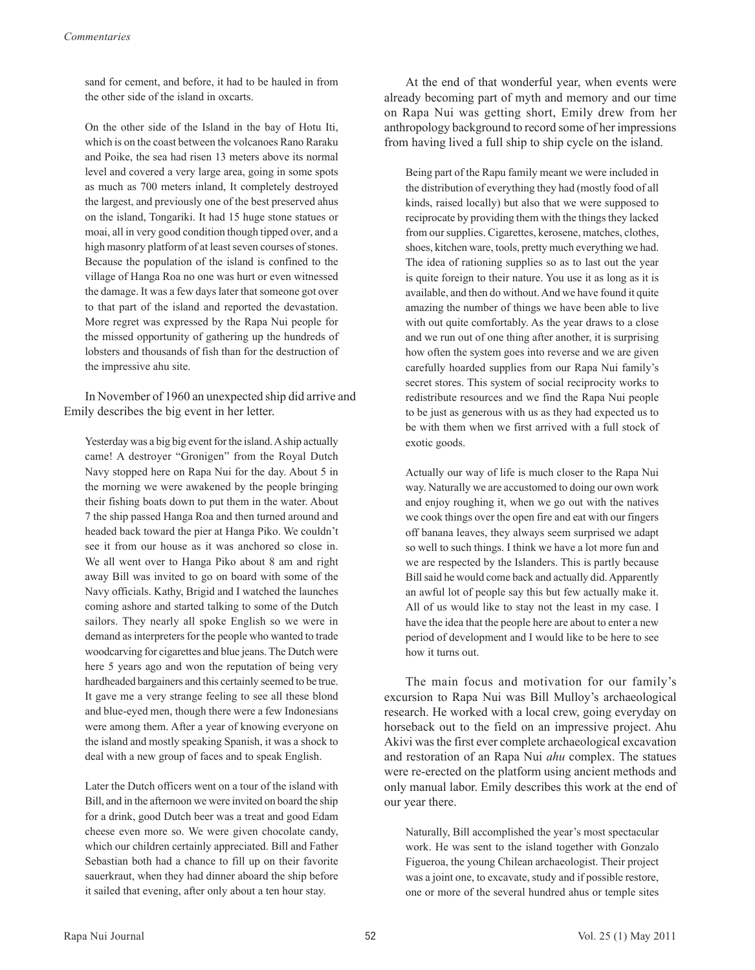sand for cement, and before, it had to be hauled in from the other side of the island in oxcarts.

On the other side of the Island in the bay of Hotu Iti, which is on the coast between the volcanoes Rano Raraku and Poike, the sea had risen 13 meters above its normal level and covered a very large area, going in some spots as much as 700 meters inland, It completely destroyed the largest, and previously one of the best preserved ahus on the island, Tongariki. It had 15 huge stone statues or moai, all in very good condition though tipped over, and a high masonry platform of at least seven courses of stones. Because the population of the island is confined to the village of Hanga Roa no one was hurt or even witnessed the damage. It was a few days later that someone got over to that part of the island and reported the devastation. More regret was expressed by the Rapa Nui people for the missed opportunity of gathering up the hundreds of lobsters and thousands of fish than for the destruction of the impressive ahu site.

In November of 1960 an unexpected ship did arrive and Emily describes the big event in her letter.

Yesterday was a big big event for the island. A ship actually came! A destroyer "Gronigen" from the Royal Dutch Navy stopped here on Rapa Nui for the day. About 5 in the morning we were awakened by the people bringing their fishing boats down to put them in the water. About 7 the ship passed Hanga Roa and then turned around and headed back toward the pier at Hanga Piko. We couldn't see it from our house as it was anchored so close in. We all went over to Hanga Piko about 8 am and right away Bill was invited to go on board with some of the Navy officials. Kathy, Brigid and I watched the launches coming ashore and started talking to some of the Dutch sailors. They nearly all spoke English so we were in demand as interpreters for the people who wanted to trade woodcarving for cigarettes and blue jeans. The Dutch were here 5 years ago and won the reputation of being very hardheaded bargainers and this certainly seemed to be true. It gave me a very strange feeling to see all these blond and blue-eyed men, though there were a few Indonesians were among them. After a year of knowing everyone on the island and mostly speaking Spanish, it was a shock to deal with a new group of faces and to speak English.

Later the Dutch officers went on a tour of the island with Bill, and in the afternoon we were invited on board the ship for a drink, good Dutch beer was a treat and good Edam cheese even more so. We were given chocolate candy, which our children certainly appreciated. Bill and Father Sebastian both had a chance to fill up on their favorite sauerkraut, when they had dinner aboard the ship before it sailed that evening, after only about a ten hour stay.

At the end of that wonderful year, when events were already becoming part of myth and memory and our time on Rapa Nui was getting short, Emily drew from her anthropology background to record some of her impressions from having lived a full ship to ship cycle on the island.

Being part of the Rapu family meant we were included in the distribution of everything they had (mostly food of all kinds, raised locally) but also that we were supposed to reciprocate by providing them with the things they lacked from our supplies. Cigarettes, kerosene, matches, clothes, shoes, kitchen ware, tools, pretty much everything we had. The idea of rationing supplies so as to last out the year is quite foreign to their nature. You use it as long as it is available, and then do without. And we have found it quite amazing the number of things we have been able to live with out quite comfortably. As the year draws to a close and we run out of one thing after another, it is surprising how often the system goes into reverse and we are given carefully hoarded supplies from our Rapa Nui family's secret stores. This system of social reciprocity works to redistribute resources and we find the Rapa Nui people to be just as generous with us as they had expected us to be with them when we first arrived with a full stock of exotic goods.

Actually our way of life is much closer to the Rapa Nui way. Naturally we are accustomed to doing our own work and enjoy roughing it, when we go out with the natives we cook things over the open fire and eat with our fingers off banana leaves, they always seem surprised we adapt so well to such things. I think we have a lot more fun and we are respected by the Islanders. This is partly because Bill said he would come back and actually did. Apparently an awful lot of people say this but few actually make it. All of us would like to stay not the least in my case. I have the idea that the people here are about to enter a new period of development and I would like to be here to see how it turns out.

The main focus and motivation for our family's excursion to Rapa Nui was Bill Mulloy's archaeological research. He worked with a local crew, going everyday on horseback out to the field on an impressive project. Ahu Akivi was the first ever complete archaeological excavation and restoration of an Rapa Nui ahu complex. The statues were re-erected on the platform using ancient methods and only manual labor. Emily describes this work at the end of our year there.

Naturally, Bill accomplished the year's most spectacular work. He was sent to the island together with Gonzalo Figueroa, the young Chilean archaeologist. Their project was a joint one, to excavate, study and if possible restore, one or more of the several hundred ahus or temple sites